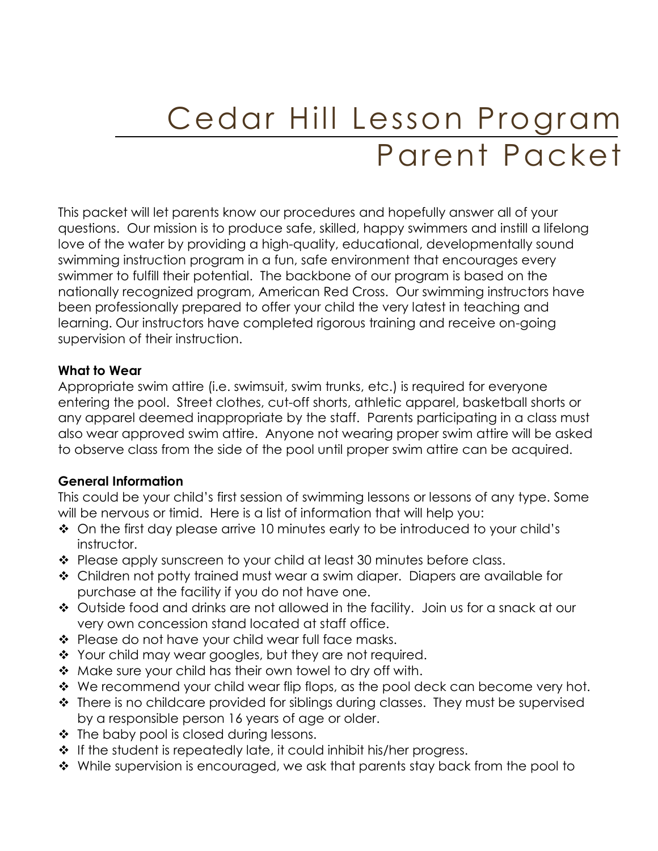# Cedar Hill Lesson Program Parent Packet

This packet will let parents know our procedures and hopefully answer all of your questions. Our mission is to produce safe, skilled, happy swimmers and instill a lifelong love of the water by providing a high-quality, educational, developmentally sound swimming instruction program in a fun, safe environment that encourages every swimmer to fulfill their potential. The backbone of our program is based on the nationally recognized program, American Red Cross. Our swimming instructors have been professionally prepared to offer your child the very latest in teaching and learning. Our instructors have completed rigorous training and receive on-going supervision of their instruction.

# **What to Wear**

Appropriate swim attire (i.e. swimsuit, swim trunks, etc.) is required for everyone entering the pool. Street clothes, cut-off shorts, athletic apparel, basketball shorts or any apparel deemed inappropriate by the staff. Parents participating in a class must also wear approved swim attire. Anyone not wearing proper swim attire will be asked to observe class from the side of the pool until proper swim attire can be acquired.

# **General Information**

This could be your child's first session of swimming lessons or lessons of any type. Some will be nervous or timid. Here is a list of information that will help you:

- On the first day please arrive 10 minutes early to be introduced to your child's instructor.
- $\div$  Please apply sunscreen to your child at least 30 minutes before class.
- Children not potty trained must wear a swim diaper. Diapers are available for purchase at the facility if you do not have one.
- ◆ Outside food and drinks are not allowed in the facility. Join us for a snack at our very own concession stand located at staff office.
- $\div$  Please do not have your child wear full face masks.
- ❖ Your child may wear googles, but they are not required.
- ◆ Make sure your child has their own towel to dry off with.
- $\cdot$  We recommend your child wear flip flops, as the pool deck can become very hot.
- ◆ There is no childcare provided for siblings during classes. They must be supervised by a responsible person 16 years of age or older.
- $\cdot \cdot$  The baby pool is closed during lessons.
- $\cdot$  If the student is repeatedly late, it could inhibit his/her progress.
- $\cdot$  While supervision is encouraged, we ask that parents stay back from the pool to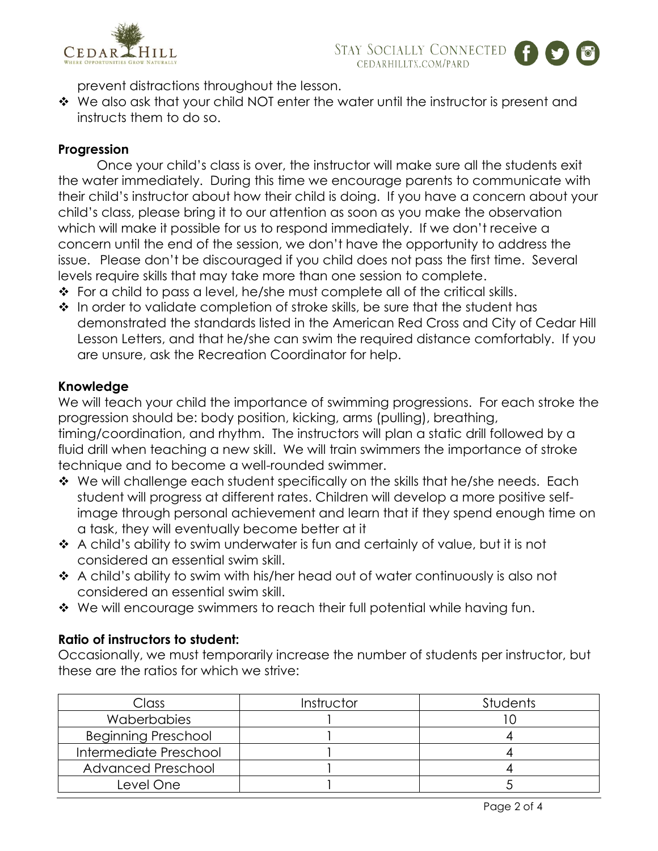

prevent distractions throughout the lesson.

\* We also ask that your child NOT enter the water until the instructor is present and instructs them to do so.

#### **Progression**

Once your child's class is over, the instructor will make sure all the students exit the water immediately. During this time we encourage parents to communicate with their child's instructor about how their child is doing. If you have a concern about your child's class, please bring it to our attention as soon as you make the observation which will make it possible for us to respond immediately. If we don't receive a concern until the end of the session, we don't have the opportunity to address the issue. Please don't be discouraged if you child does not pass the first time. Several levels require skills that may take more than one session to complete.

- $\div$  For a child to pass a level, he/she must complete all of the critical skills.
- $\cdot$  In order to validate completion of stroke skills, be sure that the student has demonstrated the standards listed in the American Red Cross and City of Cedar Hill Lesson Letters, and that he/she can swim the required distance comfortably. If you are unsure, ask the Recreation Coordinator for help.

# **Knowledge**

We will teach your child the importance of swimming progressions. For each stroke the progression should be: body position, kicking, arms (pulling), breathing,

timing/coordination, and rhythm. The instructors will plan a static drill followed by a fluid drill when teaching a new skill. We will train swimmers the importance of stroke technique and to become a well-rounded swimmer.

- $\div$  We will challenge each student specifically on the skills that he/she needs. Each student will progress at different rates. Children will develop a more positive selfimage through personal achievement and learn that if they spend enough time on a task, they will eventually become better at it
- ◆ A child's ability to swim underwater is fun and certainly of value, but it is not considered an essential swim skill.
- ◆ A child's ability to swim with his/her head out of water continuously is also not considered an essential swim skill.
- $\cdot$  We will encourage swimmers to reach their full potential while having fun.

# **Ratio of instructors to student:**

Occasionally, we must temporarily increase the number of students per instructor, but these are the ratios for which we strive:

| Class                      | Instructor | <b>Students</b> |
|----------------------------|------------|-----------------|
| Waberbabies                |            |                 |
| <b>Beginning Preschool</b> |            |                 |
| Intermediate Preschool     |            |                 |
| <b>Advanced Preschool</b>  |            |                 |
| Level One                  |            |                 |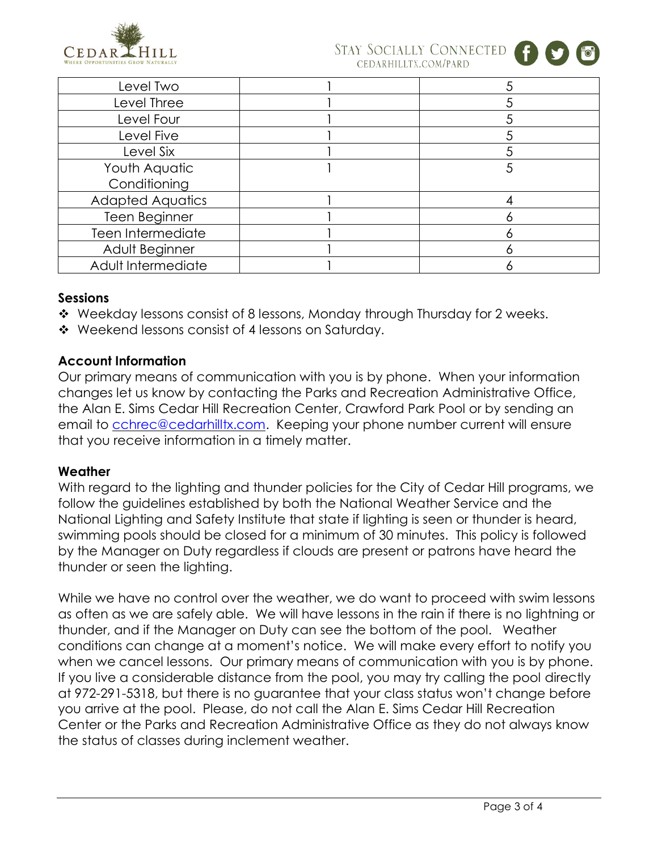



| Level Two               |  |
|-------------------------|--|
| Level Three             |  |
| Level Four              |  |
| Level Five              |  |
| Level Six               |  |
| Youth Aquatic           |  |
| Conditioning            |  |
| <b>Adapted Aquatics</b> |  |
| Teen Beginner           |  |
| Teen Intermediate       |  |
| Adult Beginner          |  |
| Adult Intermediate      |  |

#### **Sessions**

- Weekday lessons consist of 8 lessons, Monday through Thursday for 2 weeks.
- $\div$  Weekend lessons consist of 4 lessons on Saturday.

#### **Account Information**

Our primary means of communication with you is by phone. When your information changes let us know by contacting the Parks and Recreation Administrative Office, the Alan E. Sims Cedar Hill Recreation Center, Crawford Park Pool or by sending an email to [cchrec@cedarhilltx.com.](mailto:cchrec@cedarhilltx.com) Keeping your phone number current will ensure that you receive information in a timely matter.

#### **Weather**

With regard to the lighting and thunder policies for the City of Cedar Hill programs, we follow the guidelines established by both the National Weather Service and the National Lighting and Safety Institute that state if lighting is seen or thunder is heard, swimming pools should be closed for a minimum of 30 minutes. This policy is followed by the Manager on Duty regardless if clouds are present or patrons have heard the thunder or seen the lighting.

While we have no control over the weather, we do want to proceed with swim lessons as often as we are safely able. We will have lessons in the rain if there is no lightning or thunder, and if the Manager on Duty can see the bottom of the pool. Weather conditions can change at a moment's notice. We will make every effort to notify you when we cancel lessons. Our primary means of communication with you is by phone. If you live a considerable distance from the pool, you may try calling the pool directly at 972-291-5318, but there is no guarantee that your class status won't change before you arrive at the pool. Please, do not call the Alan E. Sims Cedar Hill Recreation Center or the Parks and Recreation Administrative Office as they do not always know the status of classes during inclement weather.